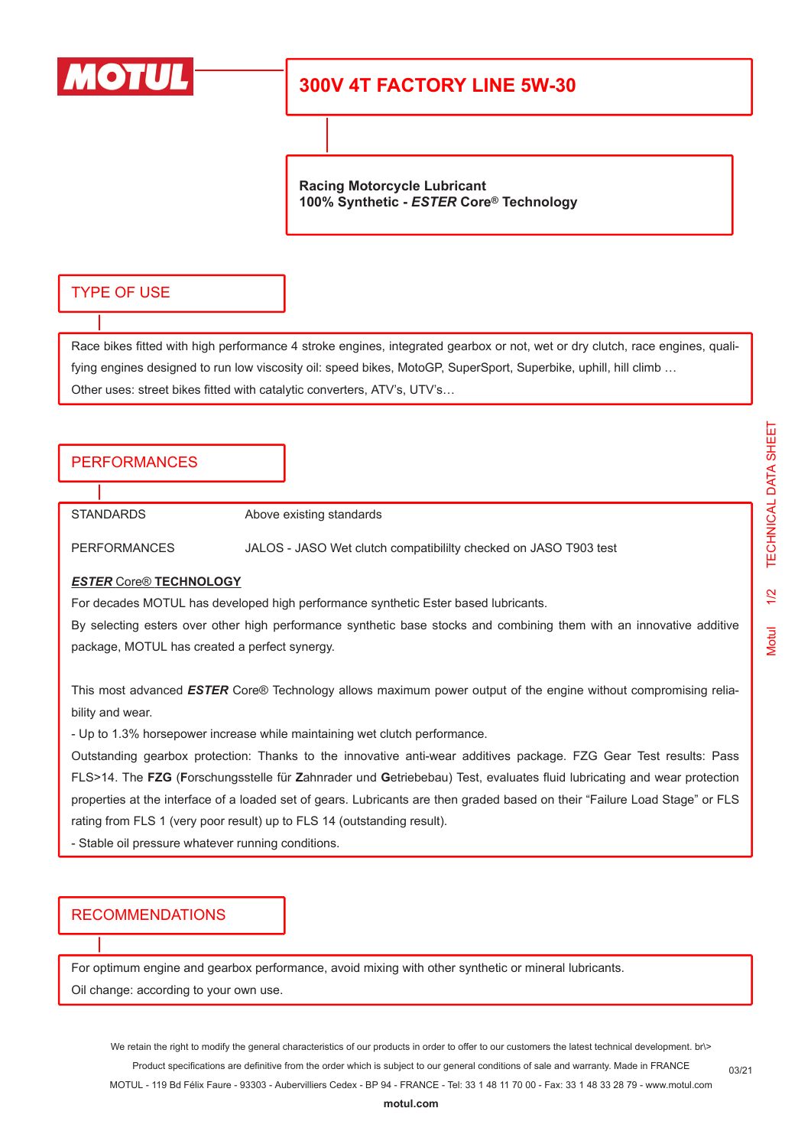

# **300V 4T FACTORY LINE 5W-30**

**Racing Motorcycle Lubricant 100% Synthetic -** *ESTER* **Core® Technology**

## TYPE OF USE

Race bikes fitted with high performance 4 stroke engines, integrated gearbox or not, wet or dry clutch, race engines, qualifying engines designed to run low viscosity oil: speed bikes, MotoGP, SuperSport, Superbike, uphill, hill climb ... Other uses: street bikes fitted with catalytic converters, ATV's, UTV's…

### PERFORMANCES

STANDARDS Above existing standards

PERFORMANCES JALOS - JASO Wet clutch compatibililty checked on JASO T903 test

#### *ESTER* Core® **TECHNOLOGY**

For decades MOTUL has developed high performance synthetic Ester based lubricants.

By selecting esters over other high performance synthetic base stocks and combining them with an innovative additive package, MOTUL has created a perfect synergy.

This most advanced *ESTER* Core® Technology allows maximum power output of the engine without compromising reliability and wear.

- Up to 1.3% horsepower increase while maintaining wet clutch performance.

Outstanding gearbox protection: Thanks to the innovative anti-wear additives package. FZG Gear Test results: Pass FLS>14. The **FZG** (**F**orschungsstelle für **Z**ahnrader und **G**etriebebau) Test, evaluates fluid lubricating and wear protection properties at the interface of a loaded set of gears. Lubricants are then graded based on their "Failure Load Stage" or FLS rating from FLS 1 (very poor result) up to FLS 14 (outstanding result).

- Stable oil pressure whatever running conditions.

### RECOMMENDATIONS

For optimum engine and gearbox performance, avoid mixing with other synthetic or mineral lubricants.

Oil change: according to your own use.

We retain the right to modify the general characteristics of our products in order to offer to our customers the latest technical development. br\> Product specifications are definitive from the order which is subject to our general conditions of sale and warranty. Made in FRANCE MOTUL - 119 Bd Félix Faure - 93303 - Aubervilliers Cedex - BP 94 - FRANCE - Tel: 33 1 48 11 70 00 - Fax: 33 1 48 33 28 79 - www.motul.com

03/21